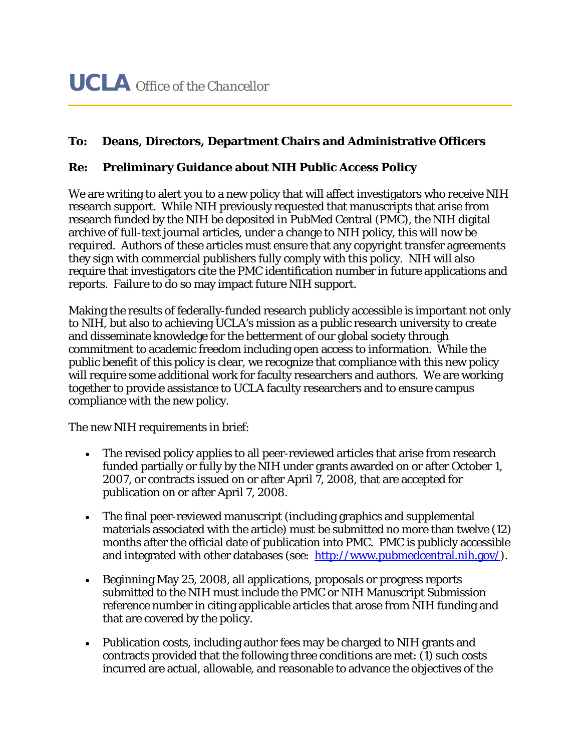## **To: Deans, Directors, Department Chairs and Administrative Officers**

## **Re: Preliminary Guidance about NIH Public Access Policy**

We are writing to alert you to a new policy that will affect investigators who receive NIH research support. While NIH previously requested that manuscripts that arise from research funded by the NIH be deposited in PubMed Central (PMC), the NIH digital archive of full-text journal articles, under a change to NIH policy, this will now be *required*. Authors of these articles must ensure that any copyright transfer agreements they sign with commercial publishers fully comply with this policy. NIH will also require that investigators cite the PMC identification number in future applications and reports. Failure to do so may impact future NIH support.

Making the results of federally-funded research publicly accessible is important not only to NIH, but also to achieving UCLA's mission as a public research university to create and disseminate knowledge for the betterment of our global society through commitment to academic freedom including open access to information. While the public benefit of this policy is clear, we recognize that compliance with this new policy will require some additional work for faculty researchers and authors. We are working together to provide assistance to UCLA faculty researchers and to ensure campus compliance with the new policy.

The new NIH requirements in brief:

- The revised policy applies to all peer-reviewed articles that arise from research funded partially or fully by the NIH under grants awarded on or after October 1, 2007, or contracts issued on or after April 7, 2008, that are accepted for publication on or after April 7, 2008.
- The final peer-reviewed manuscript (including graphics and supplemental materials associated with the article) must be submitted no more than twelve (12) months after the official date of publication into PMC. PMC is publicly accessible and integrated with other databases (see: http://www.pubmedcentral.nih.gov/).
- Beginning May 25, 2008, all applications, proposals or progress reports submitted to the NIH must include the PMC or NIH Manuscript Submission reference number in citing applicable articles that arose from NIH funding and that are covered by the policy.
- Publication costs, including author fees may be charged to NIH grants and contracts provided that the following three conditions are met:  $(1)$  such costs incurred are actual, allowable, and reasonable to advance the objectives of the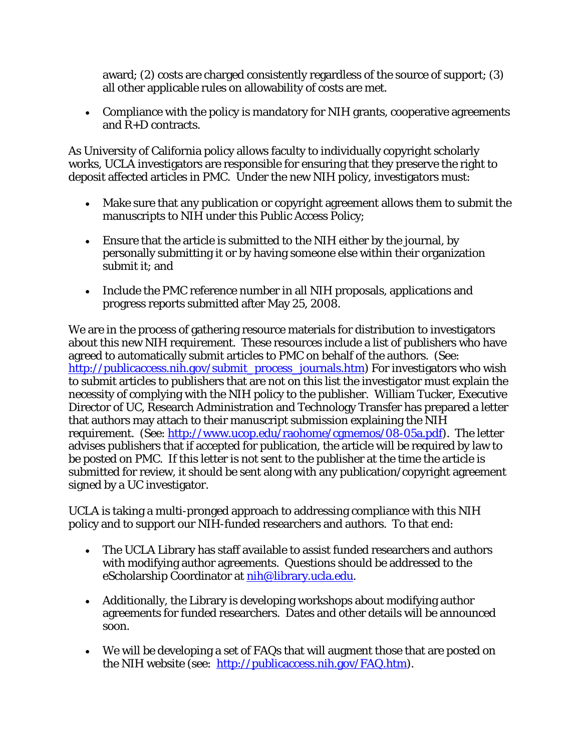award; (2) costs are charged consistently regardless of the source of support; (3) all other applicable rules on allowability of costs are met.

• Compliance with the policy is mandatory for NIH grants, cooperative agreements and R+D contracts.

As University of California policy allows faculty to individually copyright scholarly works, UCLA investigators are responsible for ensuring that they preserve the right to deposit affected articles in PMC. Under the new NIH policy, investigators must:

- Make sure that any publication or copyright agreement allows them to submit the manuscripts to NIH under this Public Access Policy;
- Ensure that the article is submitted to the NIH either by the journal, by personally submitting it or by having someone else within their organization submit it; and
- Include the PMC reference number in all NIH proposals, applications and progress reports submitted after May 25, 2008.

We are in the process of gathering resource materials for distribution to investigators about this new NIH requirement. These resources include a list of publishers who have agreed to automatically submit articles to PMC on behalf of the authors. (See: http://publicaccess.nih.gov/submit\_process\_journals.htm) For investigators who wish to submit articles to publishers that are not on this list the investigator must explain the necessity of complying with the NIH policy to the publisher. William Tucker, Executive Director of UC, Research Administration and Technology Transfer has prepared a letter that authors may attach to their manuscript submission explaining the NIH requirement. (See: http://www.ucop.edu/raohome/cgmemos/08-05a.pdf). The letter advises publishers that if accepted for publication, the article will be required by law to be posted on PMC. If this letter is not sent to the publisher at the time the article is submitted for review, it should be sent along with any publication/copyright agreement signed by a UC investigator.

UCLA is taking a multi-pronged approach to addressing compliance with this NIH policy and to support our NIH-funded researchers and authors. To that end:

- The UCLA Library has staff available to assist funded researchers and authors with modifying author agreements. Questions should be addressed to the eScholarship Coordinator at nih@library.ucla.edu.
- Additionally, the Library is developing workshops about modifying author agreements for funded researchers. Dates and other details will be announced soon.
- We will be developing a set of FAQs that will augment those that are posted on the NIH website (see: http://publicaccess.nih.gov/FAQ.htm).